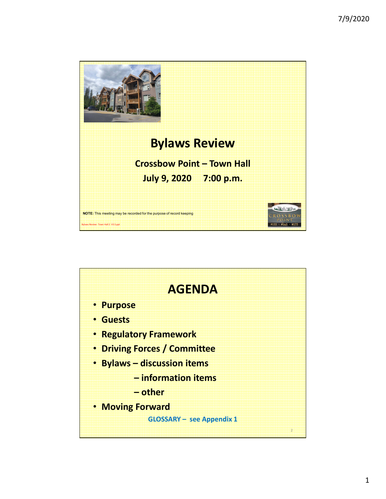

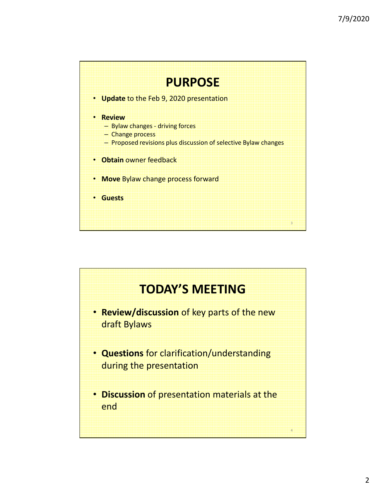

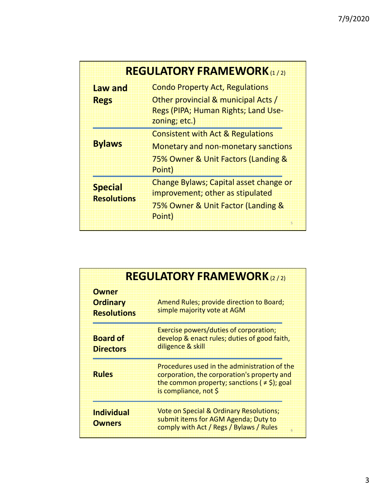| <b>REGULATORY FRAMEWORK</b> (1/2)    |                                                                                                                                             |
|--------------------------------------|---------------------------------------------------------------------------------------------------------------------------------------------|
| <b>Law and</b>                       | <b>Condo Property Act, Regulations</b>                                                                                                      |
| <b>Regs</b>                          | Other provincial & municipal Acts /<br>Regs (PIPA; Human Rights; Land Use-<br>zoning; etc.)                                                 |
| <b>Bylaws</b>                        | <b>Consistent with Act &amp; Regulations</b><br><b>Monetary and non-monetary sanctions</b><br>75% Owner & Unit Factors (Landing &<br>Point) |
| <b>Special</b><br><b>Resolutions</b> | <b>Change Bylaws; Capital asset change or</b><br>improvement; other as stipulated<br>75% Owner & Unit Factor (Landing &<br>Point)<br>5      |

| <b>REGULATORY FRAMEWORK</b> (2/2)                     |                                                                                                                                                                           |
|-------------------------------------------------------|---------------------------------------------------------------------------------------------------------------------------------------------------------------------------|
| <b>Owner</b><br><b>Ordinary</b><br><b>Resolutions</b> | Amend Rules; provide direction to Board;<br>simple majority vote at AGM                                                                                                   |
| <b>Board of</b><br><b>Directors</b>                   | Exercise powers/duties of corporation;<br>develop & enact rules; duties of good faith,<br>diligence & skill                                                               |
| <b>Rules</b>                                          | Procedures used in the administration of the<br>corporation, the corporation's property and<br>the common property; sanctions ( $\neq$ \$); goal<br>is compliance, not \$ |
| <b>Individual</b><br><b>Owners</b>                    | <b>Vote on Special &amp; Ordinary Resolutions;</b><br>submit items for AGM Agenda; Duty to<br>comply with Act / Regs / Bylaws / Rules<br>6                                |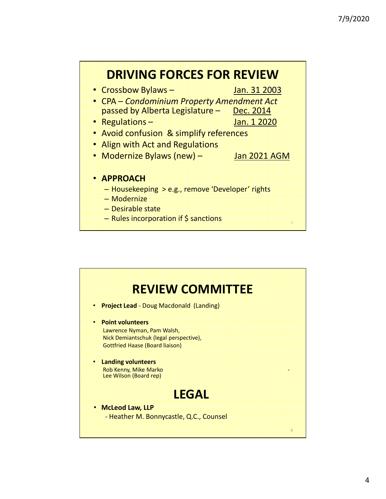

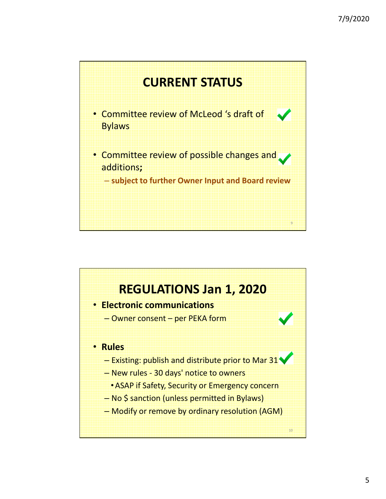

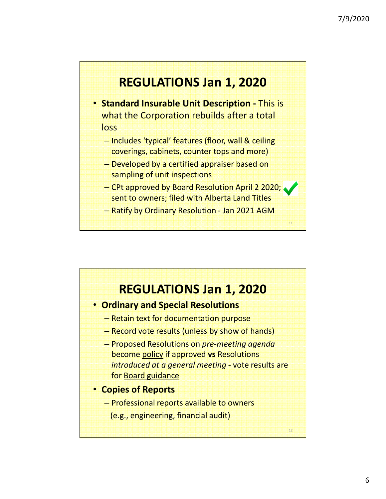

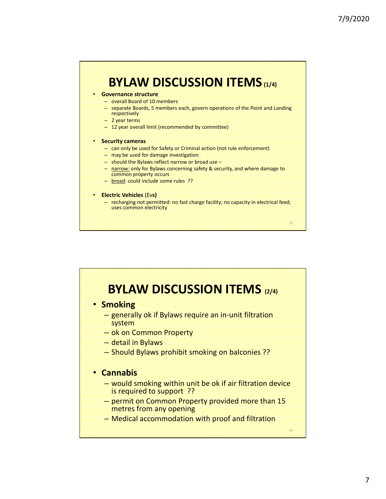

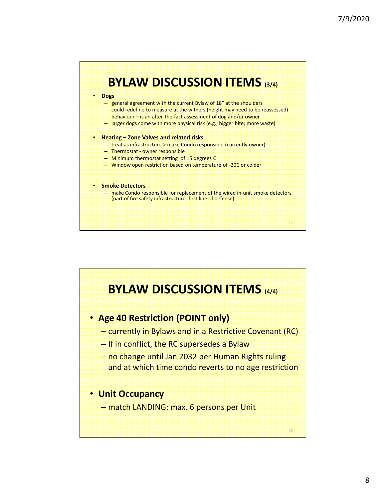

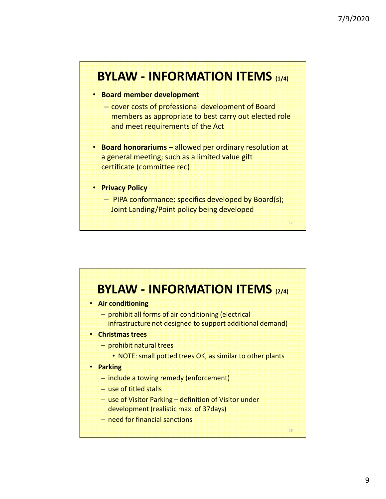

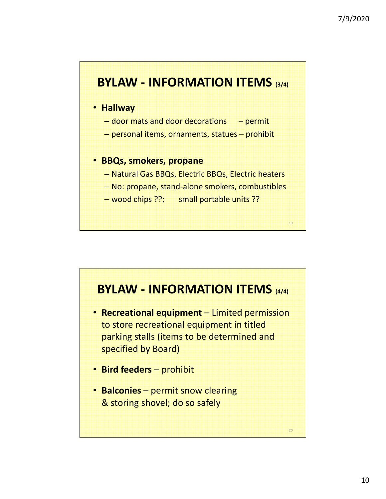

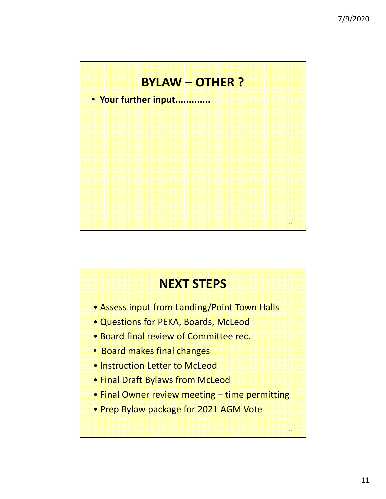

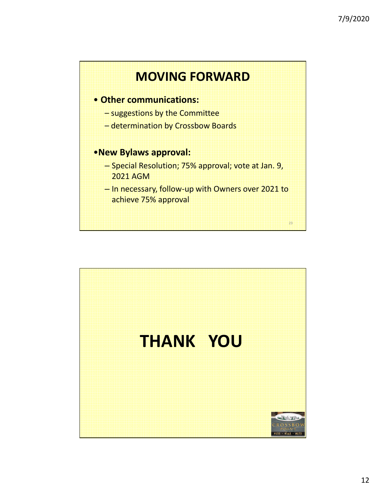

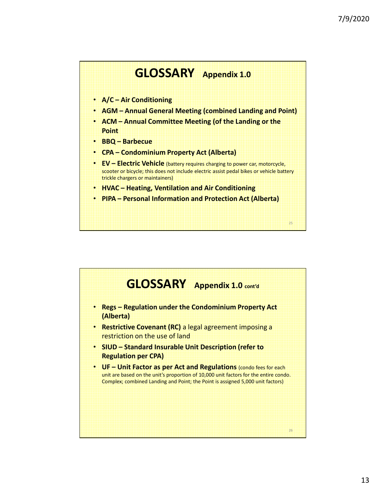

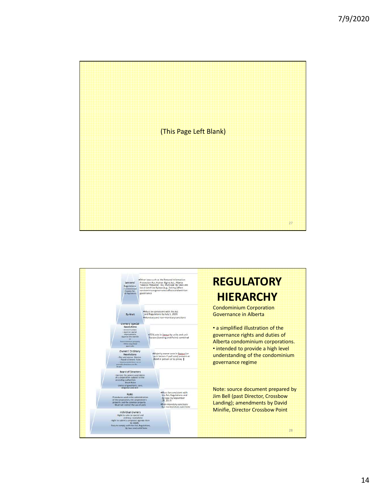